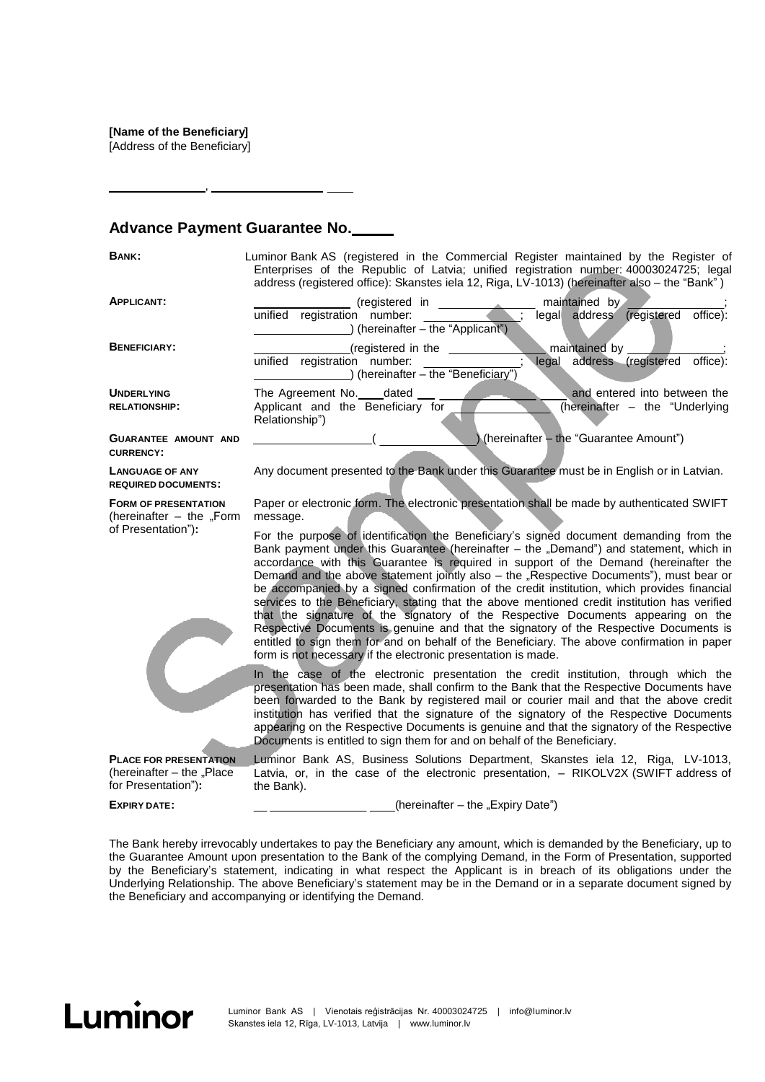[Address of the Beneficiary]

,

## **Advance Payment Guarantee No.**

| BANK:                                                                             | Luminor Bank AS (registered in the Commercial Register maintained by the Register of<br>Enterprises of the Republic of Latvia; unified registration number: 40003024725; legal<br>address (registered office): Skanstes iela 12, Riga, LV-1013) (hereinafter also - the "Bank")                                                                                                                                                                                                                                                                                                                                                                                                                                                                                                                                                                                                                                  |
|-----------------------------------------------------------------------------------|------------------------------------------------------------------------------------------------------------------------------------------------------------------------------------------------------------------------------------------------------------------------------------------------------------------------------------------------------------------------------------------------------------------------------------------------------------------------------------------------------------------------------------------------------------------------------------------------------------------------------------------------------------------------------------------------------------------------------------------------------------------------------------------------------------------------------------------------------------------------------------------------------------------|
| <b>APPLICANT:</b>                                                                 | maintained by<br>(registered in<br>legal address (registered<br>unified registration number:<br>office):<br>) (hereinafter - the "Applicant")                                                                                                                                                                                                                                                                                                                                                                                                                                                                                                                                                                                                                                                                                                                                                                    |
| <b>BENEFICIARY:</b>                                                               | maintained by<br>(registered in the<br>legal<br>unified registration number:<br>address (registered<br>office):<br>(hereinafter - the "Beneficiary")                                                                                                                                                                                                                                                                                                                                                                                                                                                                                                                                                                                                                                                                                                                                                             |
| <b>UNDERLYING</b><br><b>RELATIONSHIP:</b>                                         | The Agreement No.<br>dated<br>and entered into between the<br>Applicant and the Beneficiary for<br>(hereinafter – the "Underlying<br>Relationship")                                                                                                                                                                                                                                                                                                                                                                                                                                                                                                                                                                                                                                                                                                                                                              |
| <b>GUARANTEE AMOUNT AND</b><br><b>CURRENCY:</b>                                   | (hereinafter - the "Guarantee Amount")                                                                                                                                                                                                                                                                                                                                                                                                                                                                                                                                                                                                                                                                                                                                                                                                                                                                           |
| <b>LANGUAGE OF ANY</b><br><b>REQUIRED DOCUMENTS:</b>                              | Any document presented to the Bank under this Guarantee must be in English or in Latvian.                                                                                                                                                                                                                                                                                                                                                                                                                                                                                                                                                                                                                                                                                                                                                                                                                        |
| <b>FORM OF PRESENTATION</b><br>(hereinafter $-$ the "Form<br>of Presentation"):   | Paper or electronic form. The electronic presentation shall be made by authenticated SWIFT<br>message.                                                                                                                                                                                                                                                                                                                                                                                                                                                                                                                                                                                                                                                                                                                                                                                                           |
|                                                                                   | For the purpose of identification the Beneficiary's signed document demanding from the<br>Bank payment under this Guarantee (hereinafter - the "Demand") and statement, which in<br>accordance with this Guarantee is required in support of the Demand (hereinafter the<br>Demand and the above statement jointly also - the "Respective Documents"), must bear or<br>be accompanied by a signed confirmation of the credit institution, which provides financial<br>services to the Beneficiary, stating that the above mentioned credit institution has verified<br>that the signature of the signatory of the Respective Documents appearing on the<br>Respective Documents is genuine and that the signatory of the Respective Documents is<br>entitled to sign them for and on behalf of the Beneficiary. The above confirmation in paper<br>form is not necessary if the electronic presentation is made. |
|                                                                                   | In the case of the electronic presentation the credit institution, through which the<br>presentation has been made, shall confirm to the Bank that the Respective Documents have<br>been forwarded to the Bank by registered mail or courier mail and that the above credit<br>institution has verified that the signature of the signatory of the Respective Documents<br>appearing on the Respective Documents is genuine and that the signatory of the Respective<br>Documents is entitled to sign them for and on behalf of the Beneficiary.                                                                                                                                                                                                                                                                                                                                                                 |
| <b>PLACE FOR PRESENTATION</b><br>(hereinafter – the "Place<br>for Presentation"): | Luminor Bank AS, Business Solutions Department, Skanstes iela 12, Riga, LV-1013,<br>Latvia, or, in the case of the electronic presentation, - RIKOLV2X (SWIFT address of<br>the Bank).                                                                                                                                                                                                                                                                                                                                                                                                                                                                                                                                                                                                                                                                                                                           |

**EXPIRY DATE:**

(hereinafter  $-$  the "Expiry Date")

The Bank hereby irrevocably undertakes to pay the Beneficiary any amount, which is demanded by the Beneficiary, up to the Guarantee Amount upon presentation to the Bank of the complying Demand, in the Form of Presentation, supported by the Beneficiary's statement, indicating in what respect the Applicant is in breach of its obligations under the Underlying Relationship. The above Beneficiary's statement may be in the Demand or in a separate document signed by the Beneficiary and accompanying or identifying the Demand.